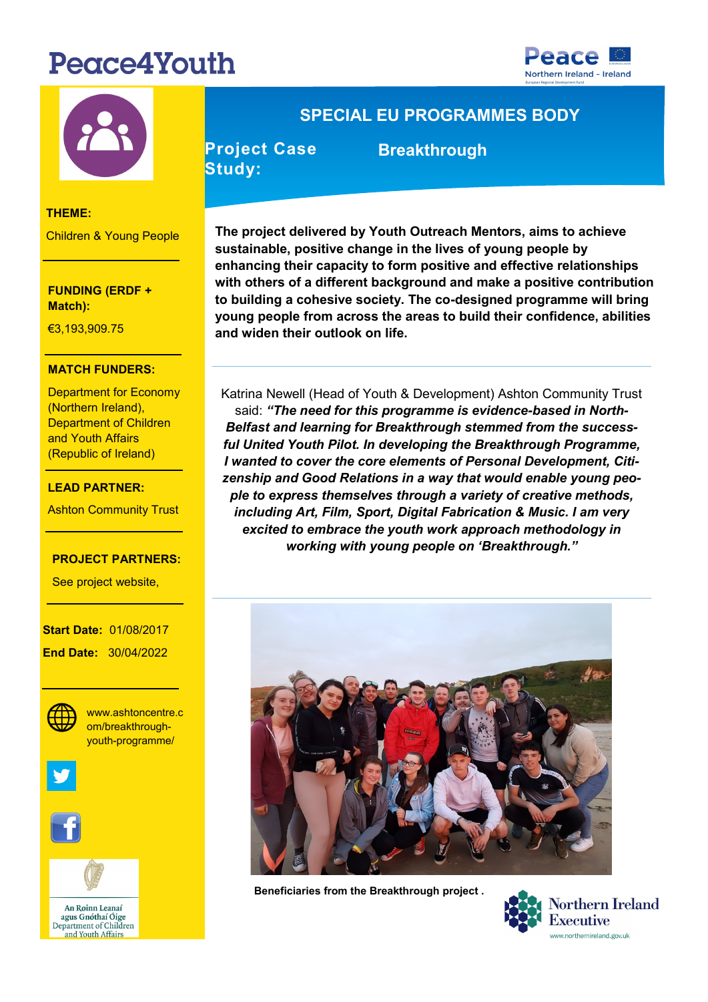# Peace4Youth





### **THEME:**

Children & Young People

**FUNDING (ERDF + Match):** 

**THEME:** €3,193,909.75

## **MATCH FUNDERS:**

Department for Economy (Northern Ireland), (Republic of Ireland) Department of Children and Youth Affairs

## €7,727,271.20 **LEAD PARTNER:**

**LEAD PARTNER:** Ashton Community Trust

## **PROJECT PARTNERS:**

- The South West

See project website,

**Start Date: 01/08/2017 End Date:** 30/04/2022



**WEBSITE:** youth-programme/ www.ashtoncentre.c om/breakthrough-





An Roinn Leanaí agus Gnóthaí Óige Department of Children and Youth Affairs

## **SPECIAL EU PROGRAMMES BODY**

**Project Case Study:** 

 **Breakthrough**

**The project delivered by Youth Outreach Mentors, aims to achieve sustainable, positive change in the lives of young people by enhancing their capacity to form positive and effective relationships with others of a different background and make a positive contribution to building a cohesive society. The co-designed programme will bring young people from across the areas to build their confidence, abilities and widen their outlook on life.** 

Katrina Newell (Head of Youth & Development) Ashton Community Trust said: *"The need for this programme is evidence-based in North-Belfast and learning for Breakthrough stemmed from the successful United Youth Pilot. In developing the Breakthrough Programme, I wanted to cover the core elements of Personal Development, Citizenship and Good Relations in a way that would enable young people to express themselves through a variety of creative methods, including Art, Film, Sport, Digital Fabrication & Music. I am very excited to embrace the youth work approach methodology in working with young people on 'Breakthrough."* 



**Beneficiaries from the Breakthrough project .**